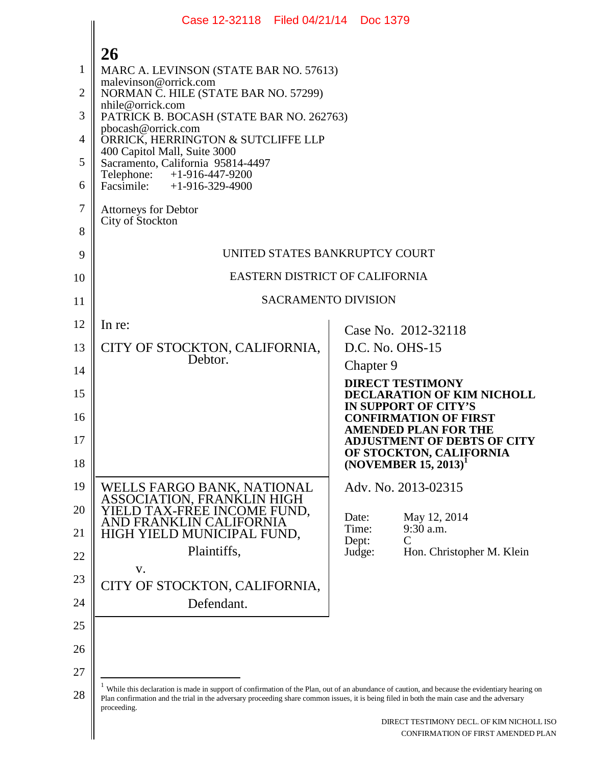|                | Case 12-32118 Filed 04/21/14 Doc 1379                                                                                                                                                                                                                                                                      |                                                                                 |
|----------------|------------------------------------------------------------------------------------------------------------------------------------------------------------------------------------------------------------------------------------------------------------------------------------------------------------|---------------------------------------------------------------------------------|
|                | 26                                                                                                                                                                                                                                                                                                         |                                                                                 |
| 1              | MARC A. LEVINSON (STATE BAR NO. 57613)                                                                                                                                                                                                                                                                     |                                                                                 |
| $\overline{2}$ | malevinson@orrick.com<br>NORMAN C. HILE (STATE BAR NO. 57299)                                                                                                                                                                                                                                              |                                                                                 |
| 3              | nhile@orrick.com<br>PATRICK B. BOCASH (STATE BAR NO. 262763)                                                                                                                                                                                                                                               |                                                                                 |
| 4              | pbocash@orrick.com<br>ORRICK, HERRINGTON & SUTCLIFFE LLP                                                                                                                                                                                                                                                   |                                                                                 |
| 5              | 400 Capitol Mall, Suite 3000<br>Sacramento, California 95814-4497                                                                                                                                                                                                                                          |                                                                                 |
| 6              | Telephone: +1-916-447-9200<br>Facsimile: $+1-916-329-4900$                                                                                                                                                                                                                                                 |                                                                                 |
| 7              | <b>Attorneys for Debtor</b>                                                                                                                                                                                                                                                                                |                                                                                 |
| 8              | City of Stockton                                                                                                                                                                                                                                                                                           |                                                                                 |
| 9              | UNITED STATES BANKRUPTCY COURT                                                                                                                                                                                                                                                                             |                                                                                 |
| 10             | EASTERN DISTRICT OF CALIFORNIA                                                                                                                                                                                                                                                                             |                                                                                 |
| 11             | <b>SACRAMENTO DIVISION</b>                                                                                                                                                                                                                                                                                 |                                                                                 |
| 12             | In re:                                                                                                                                                                                                                                                                                                     | Case No. 2012-32118                                                             |
| 13             | CITY OF STOCKTON, CALIFORNIA,                                                                                                                                                                                                                                                                              | D.C. No. OHS-15                                                                 |
| 14             | Debtor.                                                                                                                                                                                                                                                                                                    | Chapter 9                                                                       |
| 15             |                                                                                                                                                                                                                                                                                                            | <b>DIRECT TESTIMONY</b><br>DECLARATION OF KIM NICHOLL                           |
| 16             |                                                                                                                                                                                                                                                                                                            | <b>IN SUPPORT OF CITY'S</b><br><b>CONFIRMATION OF FIRST</b>                     |
| 17             |                                                                                                                                                                                                                                                                                                            | <b>AMENDED PLAN FOR THE</b><br><b>ADJUSTMENT OF DEBTS OF CITY</b>               |
| 18             |                                                                                                                                                                                                                                                                                                            | OF STOCKTON, CALIFORNIA<br>(NOVEMBER 15, 2013)                                  |
| 19             | WELLS FARGO BANK, NATIONAL<br>ASSOCIATION, FRANKLIN HIGH                                                                                                                                                                                                                                                   | Adv. No. 2013-02315                                                             |
| 20             | YIELD TAX-FREE INCOME FUND,<br>AND FRANKLIN CALIFORNIA                                                                                                                                                                                                                                                     | Date:<br>May 12, 2014                                                           |
| 21             | HIGH YIELD MUNICIPAL FUND,                                                                                                                                                                                                                                                                                 | 9:30 a.m.<br>Time:<br>Dept:<br>C                                                |
| 22             | Plaintiffs,<br>V.                                                                                                                                                                                                                                                                                          | Hon. Christopher M. Klein<br>Judge:                                             |
| 23             | CITY OF STOCKTON, CALIFORNIA,                                                                                                                                                                                                                                                                              |                                                                                 |
| 24             | Defendant.                                                                                                                                                                                                                                                                                                 |                                                                                 |
| 25             |                                                                                                                                                                                                                                                                                                            |                                                                                 |
| 26             |                                                                                                                                                                                                                                                                                                            |                                                                                 |
| 27             |                                                                                                                                                                                                                                                                                                            |                                                                                 |
| 28             | While this declaration is made in support of confirmation of the Plan, out of an abundance of caution, and because the evidentiary hearing on<br>Plan confirmation and the trial in the adversary proceeding share common issues, it is being filed in both the main case and the adversary<br>proceeding. |                                                                                 |
|                |                                                                                                                                                                                                                                                                                                            | DIRECT TESTIMONY DECL. OF KIM NICHOLL ISO<br>CONFIRMATION OF FIRST AMENDED PLAN |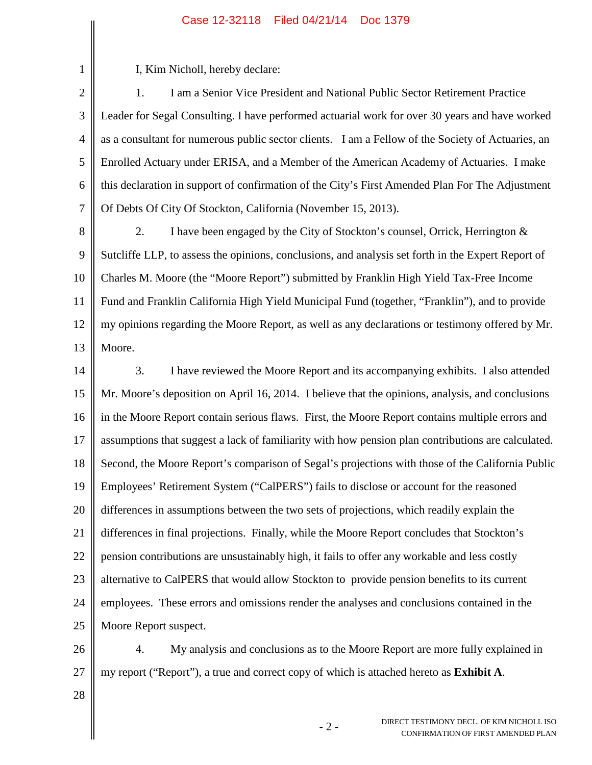I, Kim Nicholl, hereby declare:

1

2 3 4 5 6 7 1. I am a Senior Vice President and National Public Sector Retirement Practice Leader for Segal Consulting. I have performed actuarial work for over 30 years and have worked as a consultant for numerous public sector clients. I am a Fellow of the Society of Actuaries, an Enrolled Actuary under ERISA, and a Member of the American Academy of Actuaries. I make this declaration in support of confirmation of the City's First Amended Plan For The Adjustment Of Debts Of City Of Stockton, California (November 15, 2013).

- 8 9 10 11 12 13 2. I have been engaged by the City of Stockton's counsel, Orrick, Herrington & Sutcliffe LLP, to assess the opinions, conclusions, and analysis set forth in the Expert Report of Charles M. Moore (the "Moore Report") submitted by Franklin High Yield Tax-Free Income Fund and Franklin California High Yield Municipal Fund (together, "Franklin"), and to provide my opinions regarding the Moore Report, as well as any declarations or testimony offered by Mr. Moore.
- 14 15 16 17 18 19 20 21 22 23 24 25 3. I have reviewed the Moore Report and its accompanying exhibits. I also attended Mr. Moore's deposition on April 16, 2014. I believe that the opinions, analysis, and conclusions in the Moore Report contain serious flaws. First, the Moore Report contains multiple errors and assumptions that suggest a lack of familiarity with how pension plan contributions are calculated. Second, the Moore Report's comparison of Segal's projections with those of the California Public Employees' Retirement System ("CalPERS") fails to disclose or account for the reasoned differences in assumptions between the two sets of projections, which readily explain the differences in final projections. Finally, while the Moore Report concludes that Stockton's pension contributions are unsustainably high, it fails to offer any workable and less costly alternative to CalPERS that would allow Stockton to provide pension benefits to its current employees. These errors and omissions render the analyses and conclusions contained in the Moore Report suspect.

26 27 4. My analysis and conclusions as to the Moore Report are more fully explained in my report ("Report"), a true and correct copy of which is attached hereto as **Exhibit A**.

28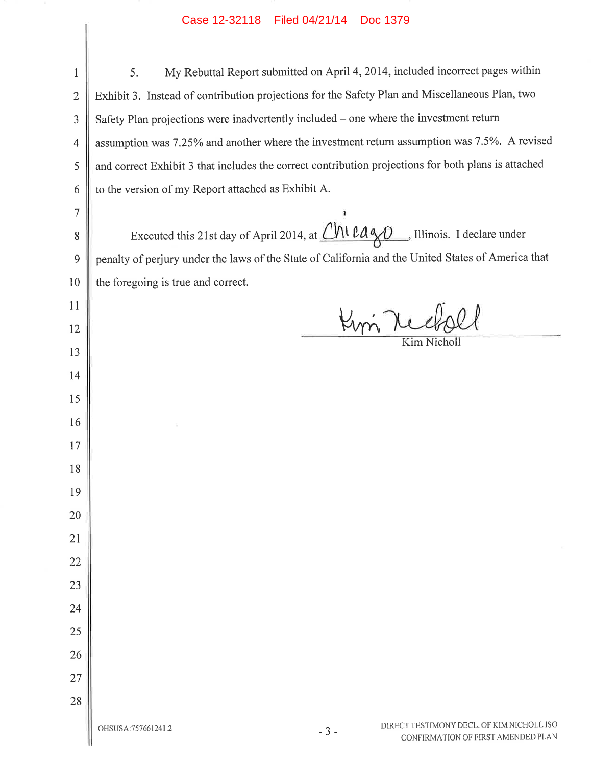| $\mathbf{1}$   | My Rebuttal Report submitted on April 4, 2014, included incorrect pages within<br>5.                            |
|----------------|-----------------------------------------------------------------------------------------------------------------|
| $\overline{2}$ | Exhibit 3. Instead of contribution projections for the Safety Plan and Miscellaneous Plan, two                  |
| 3              | Safety Plan projections were inadvertently included – one where the investment return                           |
| 4              | assumption was 7.25% and another where the investment return assumption was 7.5%. A revised                     |
| 5              | and correct Exhibit 3 that includes the correct contribution projections for both plans is attached             |
| 6              | to the version of my Report attached as Exhibit A.                                                              |
| $\overline{7}$ |                                                                                                                 |
| 8              | Executed this 21st day of April 2014, at Chi Cayo , Illinois. I declare under                                   |
| 9              | penalty of perjury under the laws of the State of California and the United States of America that              |
| 10             | the foregoing is true and correct.                                                                              |
| 11             |                                                                                                                 |
| 12             |                                                                                                                 |
| 13             | Kim Nicholl                                                                                                     |
| 14             |                                                                                                                 |
| 15             |                                                                                                                 |
| 16             |                                                                                                                 |
| 17             |                                                                                                                 |
| 18             |                                                                                                                 |
| 19             |                                                                                                                 |
| 20             |                                                                                                                 |
| 21             |                                                                                                                 |
| 22             |                                                                                                                 |
| 23             |                                                                                                                 |
| 24             |                                                                                                                 |
| 25             |                                                                                                                 |
| 26             |                                                                                                                 |
| 27             |                                                                                                                 |
| 28             |                                                                                                                 |
|                | DIRECT TESTIMONY DECL. OF KIM NICHOLL ISO<br>OHSUSA: 757661241.2<br>$-3-$<br>CONFIRMATION OF FIRST AMENDED PLAN |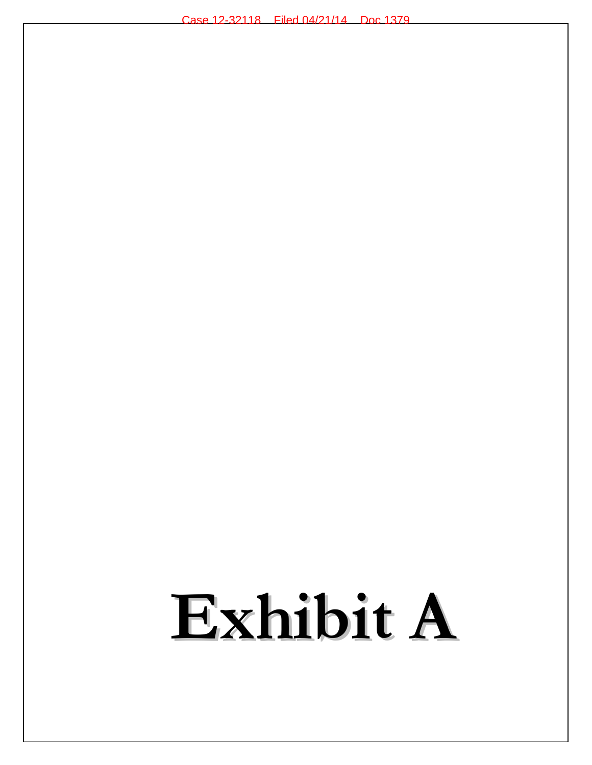### Exhibit A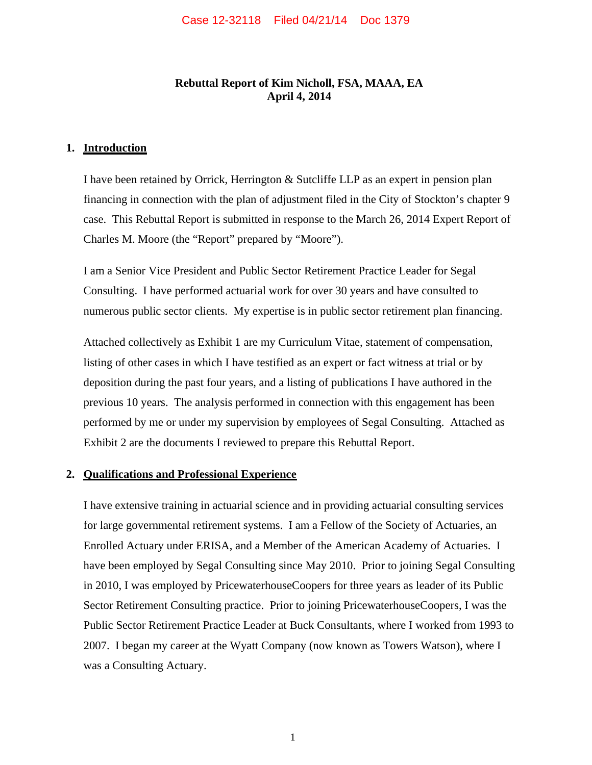### **Rebuttal Report of Kim Nicholl, FSA, MAAA, EA April 4, 2014**

### **1. Introduction**

I have been retained by Orrick, Herrington & Sutcliffe LLP as an expert in pension plan financing in connection with the plan of adjustment filed in the City of Stockton's chapter 9 case. This Rebuttal Report is submitted in response to the March 26, 2014 Expert Report of Charles M. Moore (the "Report" prepared by "Moore").

I am a Senior Vice President and Public Sector Retirement Practice Leader for Segal Consulting. I have performed actuarial work for over 30 years and have consulted to numerous public sector clients. My expertise is in public sector retirement plan financing.

Attached collectively as Exhibit 1 are my Curriculum Vitae, statement of compensation, listing of other cases in which I have testified as an expert or fact witness at trial or by deposition during the past four years, and a listing of publications I have authored in the previous 10 years. The analysis performed in connection with this engagement has been performed by me or under my supervision by employees of Segal Consulting. Attached as Exhibit 2 are the documents I reviewed to prepare this Rebuttal Report.

### **2. Qualifications and Professional Experience**

I have extensive training in actuarial science and in providing actuarial consulting services for large governmental retirement systems. I am a Fellow of the Society of Actuaries, an Enrolled Actuary under ERISA, and a Member of the American Academy of Actuaries. I have been employed by Segal Consulting since May 2010. Prior to joining Segal Consulting in 2010, I was employed by PricewaterhouseCoopers for three years as leader of its Public Sector Retirement Consulting practice. Prior to joining PricewaterhouseCoopers, I was the Public Sector Retirement Practice Leader at Buck Consultants, where I worked from 1993 to 2007. I began my career at the Wyatt Company (now known as Towers Watson), where I was a Consulting Actuary.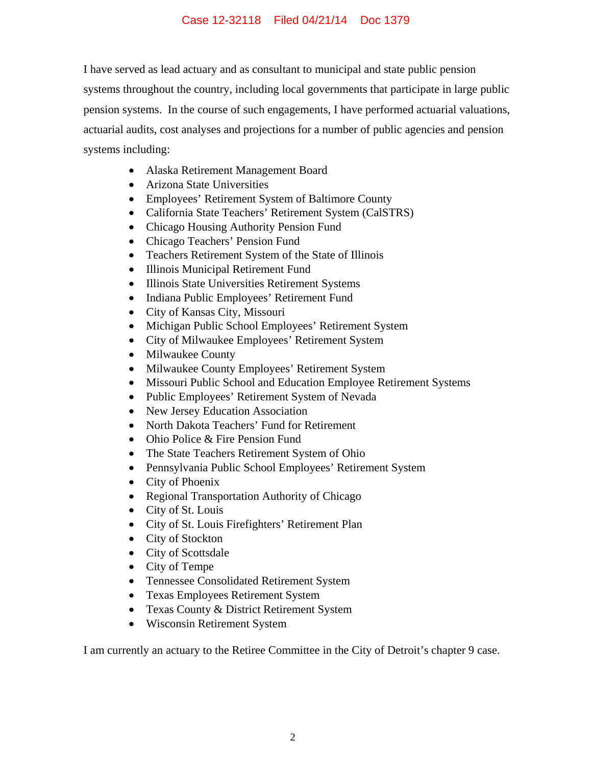I have served as lead actuary and as consultant to municipal and state public pension systems throughout the country, including local governments that participate in large public pension systems. In the course of such engagements, I have performed actuarial valuations, actuarial audits, cost analyses and projections for a number of public agencies and pension systems including:

- Alaska Retirement Management Board
- Arizona State Universities
- Employees' Retirement System of Baltimore County
- California State Teachers' Retirement System (CalSTRS)
- Chicago Housing Authority Pension Fund
- Chicago Teachers' Pension Fund
- Teachers Retirement System of the State of Illinois
- Illinois Municipal Retirement Fund
- $\bullet$  Illinois State Universities Retirement Systems
- Indiana Public Employees' Retirement Fund
- City of Kansas City, Missouri
- $\bullet$  Michigan Public School Employees' Retirement System
- City of Milwaukee Employees' Retirement System
- Milwaukee County
- $\bullet$  Milwaukee County Employees' Retirement System
- $\bullet$  Missouri Public School and Education Employee Retirement Systems
- Public Employees' Retirement System of Nevada
- New Jersey Education Association
- North Dakota Teachers' Fund for Retirement
- Ohio Police & Fire Pension Fund
- The State Teachers Retirement System of Ohio
- " Pennsylvania Public School Employees' Retirement System
- $\bullet$  City of Phoenix
- Regional Transportation Authority of Chicago
- City of St. Louis
- City of St. Louis Firefighters' Retirement Plan
- City of Stockton
- City of Scottsdale
- City of Tempe
- Tennessee Consolidated Retirement System
- Texas Employees Retirement System
- Texas County & District Retirement System
- Wisconsin Retirement System

I am currently an actuary to the Retiree Committee in the City of Detroit's chapter 9 case.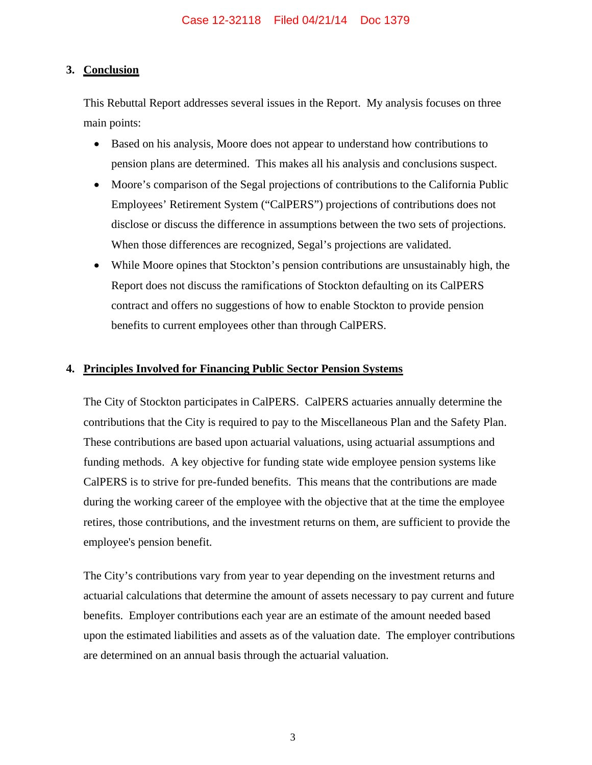### **3. Conclusion**

This Rebuttal Report addresses several issues in the Report. My analysis focuses on three main points:

- Based on his analysis, Moore does not appear to understand how contributions to pension plans are determined. This makes all his analysis and conclusions suspect.
- " Moore's comparison of the Segal projections of contributions to the California Public Employees' Retirement System ("CalPERS") projections of contributions does not disclose or discuss the difference in assumptions between the two sets of projections. When those differences are recognized, Segal's projections are validated.
- While Moore opines that Stockton's pension contributions are unsustainably high, the Report does not discuss the ramifications of Stockton defaulting on its CalPERS contract and offers no suggestions of how to enable Stockton to provide pension benefits to current employees other than through CalPERS.

### **4. Principles Involved for Financing Public Sector Pension Systems**

The City of Stockton participates in CalPERS. CalPERS actuaries annually determine the contributions that the City is required to pay to the Miscellaneous Plan and the Safety Plan. These contributions are based upon actuarial valuations, using actuarial assumptions and funding methods. A key objective for funding state wide employee pension systems like CalPERS is to strive for pre-funded benefits. This means that the contributions are made during the working career of the employee with the objective that at the time the employee retires, those contributions, and the investment returns on them, are sufficient to provide the employee's pension benefit.

The City's contributions vary from year to year depending on the investment returns and actuarial calculations that determine the amount of assets necessary to pay current and future benefits. Employer contributions each year are an estimate of the amount needed based upon the estimated liabilities and assets as of the valuation date. The employer contributions are determined on an annual basis through the actuarial valuation.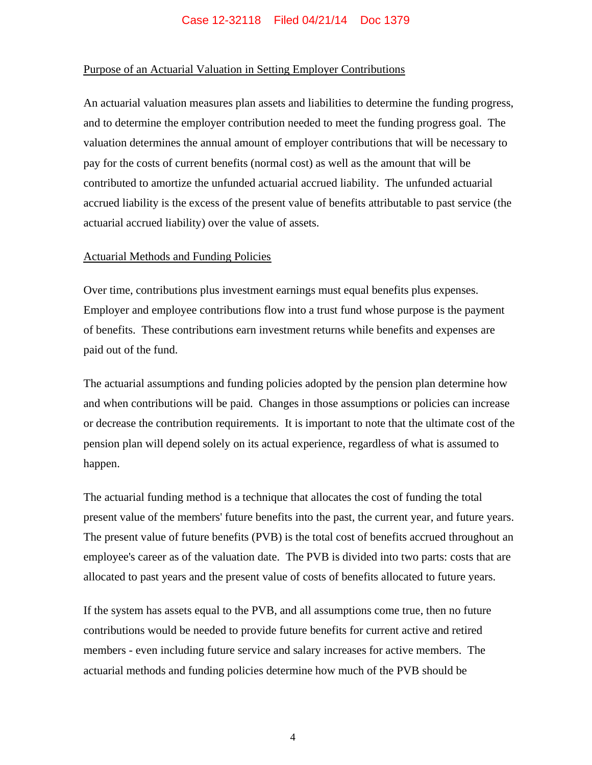### Purpose of an Actuarial Valuation in Setting Employer Contributions

An actuarial valuation measures plan assets and liabilities to determine the funding progress, and to determine the employer contribution needed to meet the funding progress goal. The valuation determines the annual amount of employer contributions that will be necessary to pay for the costs of current benefits (normal cost) as well as the amount that will be contributed to amortize the unfunded actuarial accrued liability. The unfunded actuarial accrued liability is the excess of the present value of benefits attributable to past service (the actuarial accrued liability) over the value of assets.

### Actuarial Methods and Funding Policies

Over time, contributions plus investment earnings must equal benefits plus expenses. Employer and employee contributions flow into a trust fund whose purpose is the payment of benefits. These contributions earn investment returns while benefits and expenses are paid out of the fund.

The actuarial assumptions and funding policies adopted by the pension plan determine how and when contributions will be paid. Changes in those assumptions or policies can increase or decrease the contribution requirements. It is important to note that the ultimate cost of the pension plan will depend solely on its actual experience, regardless of what is assumed to happen.

The actuarial funding method is a technique that allocates the cost of funding the total present value of the members' future benefits into the past, the current year, and future years. The present value of future benefits (PVB) is the total cost of benefits accrued throughout an employee's career as of the valuation date. The PVB is divided into two parts: costs that are allocated to past years and the present value of costs of benefits allocated to future years.

If the system has assets equal to the PVB, and all assumptions come true, then no future contributions would be needed to provide future benefits for current active and retired members - even including future service and salary increases for active members. The actuarial methods and funding policies determine how much of the PVB should be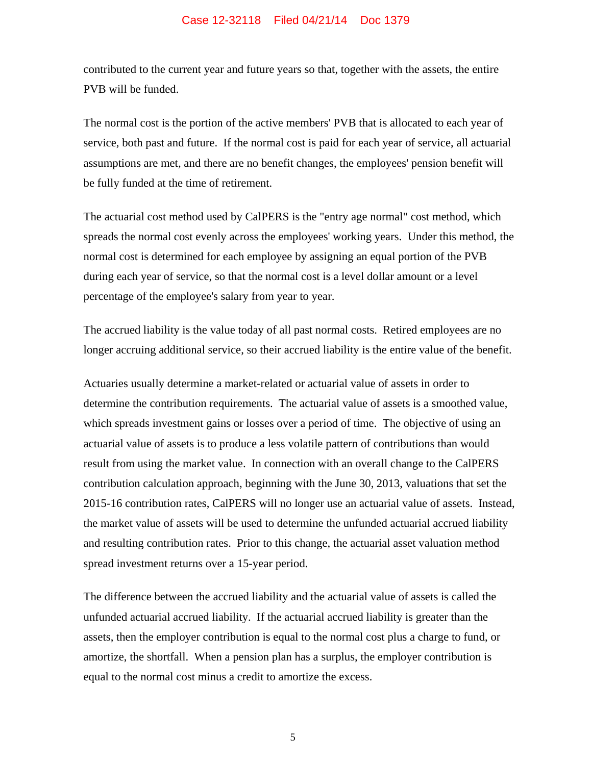contributed to the current year and future years so that, together with the assets, the entire PVB will be funded.

The normal cost is the portion of the active members' PVB that is allocated to each year of service, both past and future. If the normal cost is paid for each year of service, all actuarial assumptions are met, and there are no benefit changes, the employees' pension benefit will be fully funded at the time of retirement.

The actuarial cost method used by CalPERS is the "entry age normal" cost method, which spreads the normal cost evenly across the employees' working years. Under this method, the normal cost is determined for each employee by assigning an equal portion of the PVB during each year of service, so that the normal cost is a level dollar amount or a level percentage of the employee's salary from year to year.

The accrued liability is the value today of all past normal costs. Retired employees are no longer accruing additional service, so their accrued liability is the entire value of the benefit.

Actuaries usually determine a market-related or actuarial value of assets in order to determine the contribution requirements. The actuarial value of assets is a smoothed value, which spreads investment gains or losses over a period of time. The objective of using an actuarial value of assets is to produce a less volatile pattern of contributions than would result from using the market value. In connection with an overall change to the CalPERS contribution calculation approach, beginning with the June 30, 2013, valuations that set the 2015-16 contribution rates, CalPERS will no longer use an actuarial value of assets. Instead, the market value of assets will be used to determine the unfunded actuarial accrued liability and resulting contribution rates. Prior to this change, the actuarial asset valuation method spread investment returns over a 15-year period.

The difference between the accrued liability and the actuarial value of assets is called the unfunded actuarial accrued liability. If the actuarial accrued liability is greater than the assets, then the employer contribution is equal to the normal cost plus a charge to fund, or amortize, the shortfall. When a pension plan has a surplus, the employer contribution is equal to the normal cost minus a credit to amortize the excess.

5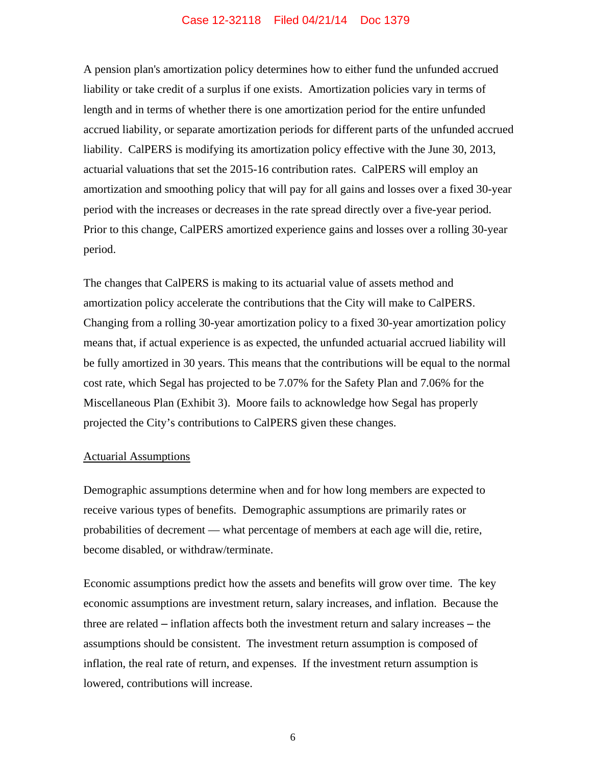A pension plan's amortization policy determines how to either fund the unfunded accrued liability or take credit of a surplus if one exists. Amortization policies vary in terms of length and in terms of whether there is one amortization period for the entire unfunded accrued liability, or separate amortization periods for different parts of the unfunded accrued liability. CalPERS is modifying its amortization policy effective with the June 30, 2013, actuarial valuations that set the 2015-16 contribution rates. CalPERS will employ an amortization and smoothing policy that will pay for all gains and losses over a fixed 30-year period with the increases or decreases in the rate spread directly over a five-year period. Prior to this change, CalPERS amortized experience gains and losses over a rolling 30-year period.

The changes that CalPERS is making to its actuarial value of assets method and amortization policy accelerate the contributions that the City will make to CalPERS. Changing from a rolling 30-year amortization policy to a fixed 30-year amortization policy means that, if actual experience is as expected, the unfunded actuarial accrued liability will be fully amortized in 30 years. This means that the contributions will be equal to the normal cost rate, which Segal has projected to be 7.07% for the Safety Plan and 7.06% for the Miscellaneous Plan (Exhibit 3). Moore fails to acknowledge how Segal has properly projected the City's contributions to CalPERS given these changes.

### Actuarial Assumptions

Demographic assumptions determine when and for how long members are expected to receive various types of benefits. Demographic assumptions are primarily rates or probabilities of decrement — what percentage of members at each age will die, retire, become disabled, or withdraw/terminate.

Economic assumptions predict how the assets and benefits will grow over time. The key economic assumptions are investment return, salary increases, and inflation. Because the three are related – inflation affects both the investment return and salary increases – the assumptions should be consistent. The investment return assumption is composed of inflation, the real rate of return, and expenses. If the investment return assumption is lowered, contributions will increase.

6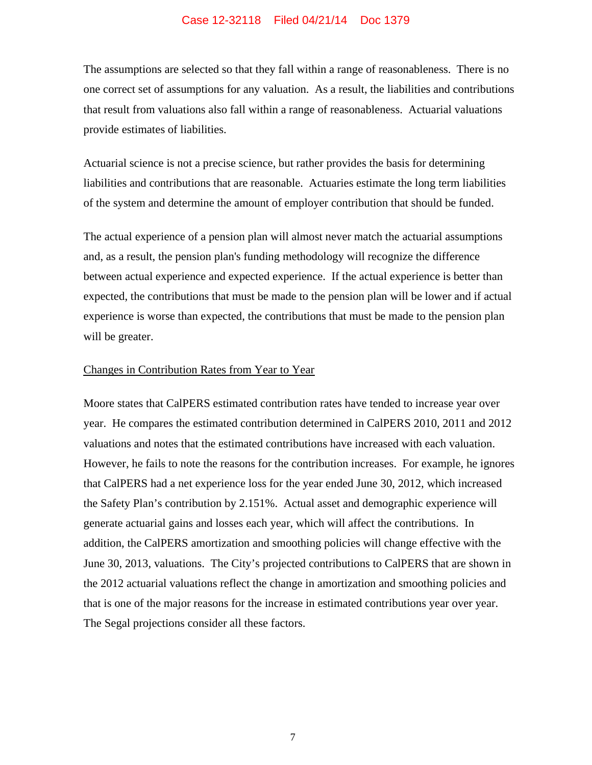The assumptions are selected so that they fall within a range of reasonableness. There is no one correct set of assumptions for any valuation. As a result, the liabilities and contributions that result from valuations also fall within a range of reasonableness. Actuarial valuations provide estimates of liabilities.

Actuarial science is not a precise science, but rather provides the basis for determining liabilities and contributions that are reasonable. Actuaries estimate the long term liabilities of the system and determine the amount of employer contribution that should be funded.

The actual experience of a pension plan will almost never match the actuarial assumptions and, as a result, the pension plan's funding methodology will recognize the difference between actual experience and expected experience. If the actual experience is better than expected, the contributions that must be made to the pension plan will be lower and if actual experience is worse than expected, the contributions that must be made to the pension plan will be greater.

### Changes in Contribution Rates from Year to Year

Moore states that CalPERS estimated contribution rates have tended to increase year over year. He compares the estimated contribution determined in CalPERS 2010, 2011 and 2012 valuations and notes that the estimated contributions have increased with each valuation. However, he fails to note the reasons for the contribution increases. For example, he ignores that CalPERS had a net experience loss for the year ended June 30, 2012, which increased the Safety Plan's contribution by 2.151%. Actual asset and demographic experience will generate actuarial gains and losses each year, which will affect the contributions. In addition, the CalPERS amortization and smoothing policies will change effective with the June 30, 2013, valuations. The City's projected contributions to CalPERS that are shown in the 2012 actuarial valuations reflect the change in amortization and smoothing policies and that is one of the major reasons for the increase in estimated contributions year over year. The Segal projections consider all these factors.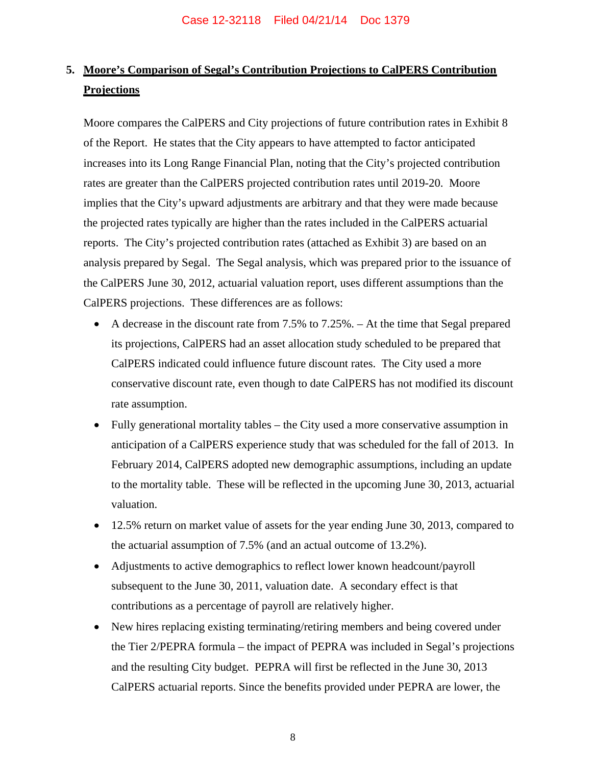### **5. Moore's Comparison of Segal's Contribution Projections to CalPERS Contribution Projections**

Moore compares the CalPERS and City projections of future contribution rates in Exhibit 8 of the Report. He states that the City appears to have attempted to factor anticipated increases into its Long Range Financial Plan, noting that the City's projected contribution rates are greater than the CalPERS projected contribution rates until 2019-20. Moore implies that the City's upward adjustments are arbitrary and that they were made because the projected rates typically are higher than the rates included in the CalPERS actuarial reports. The City's projected contribution rates (attached as Exhibit 3) are based on an analysis prepared by Segal. The Segal analysis, which was prepared prior to the issuance of the CalPERS June 30, 2012, actuarial valuation report, uses different assumptions than the CalPERS projections. These differences are as follows:

- $\bullet$  A decrease in the discount rate from 7.5% to 7.25%. At the time that Segal prepared its projections, CalPERS had an asset allocation study scheduled to be prepared that CalPERS indicated could influence future discount rates. The City used a more conservative discount rate, even though to date CalPERS has not modified its discount rate assumption.
- Fully generational mortality tables the City used a more conservative assumption in anticipation of a CalPERS experience study that was scheduled for the fall of 2013. In February 2014, CalPERS adopted new demographic assumptions, including an update to the mortality table. These will be reflected in the upcoming June 30, 2013, actuarial valuation.
- 12.5% return on market value of assets for the year ending June 30, 2013, compared to the actuarial assumption of 7.5% (and an actual outcome of 13.2%).
- Adjustments to active demographics to reflect lower known headcount/payroll subsequent to the June 30, 2011, valuation date. A secondary effect is that contributions as a percentage of payroll are relatively higher.
- New hires replacing existing terminating/retiring members and being covered under the Tier 2/PEPRA formula – the impact of PEPRA was included in Segal's projections and the resulting City budget. PEPRA will first be reflected in the June 30, 2013 CalPERS actuarial reports. Since the benefits provided under PEPRA are lower, the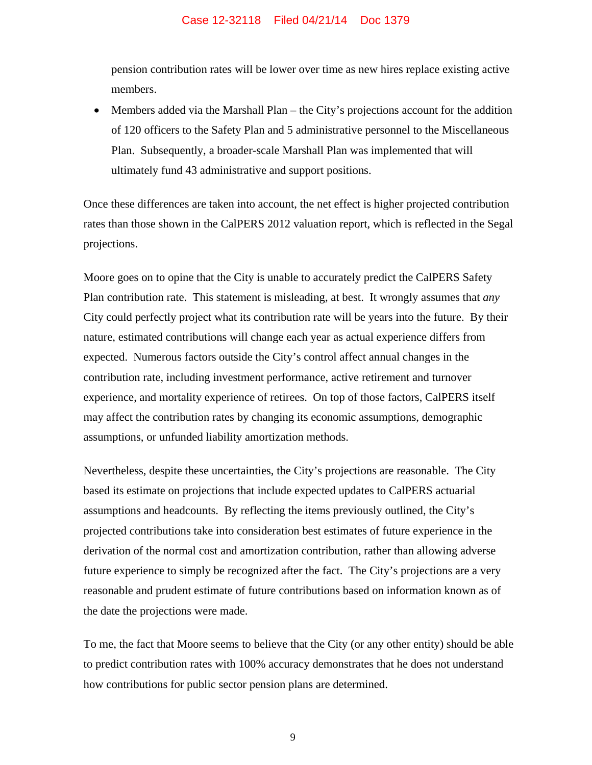pension contribution rates will be lower over time as new hires replace existing active members.

Members added via the Marshall Plan – the City's projections account for the addition of 120 officers to the Safety Plan and 5 administrative personnel to the Miscellaneous Plan. Subsequently, a broader-scale Marshall Plan was implemented that will ultimately fund 43 administrative and support positions.

Once these differences are taken into account, the net effect is higher projected contribution rates than those shown in the CalPERS 2012 valuation report, which is reflected in the Segal projections.

Moore goes on to opine that the City is unable to accurately predict the CalPERS Safety Plan contribution rate. This statement is misleading, at best. It wrongly assumes that *any* City could perfectly project what its contribution rate will be years into the future. By their nature, estimated contributions will change each year as actual experience differs from expected. Numerous factors outside the City's control affect annual changes in the contribution rate, including investment performance, active retirement and turnover experience, and mortality experience of retirees. On top of those factors, CalPERS itself may affect the contribution rates by changing its economic assumptions, demographic assumptions, or unfunded liability amortization methods.

Nevertheless, despite these uncertainties, the City's projections are reasonable. The City based its estimate on projections that include expected updates to CalPERS actuarial assumptions and headcounts. By reflecting the items previously outlined, the City's projected contributions take into consideration best estimates of future experience in the derivation of the normal cost and amortization contribution, rather than allowing adverse future experience to simply be recognized after the fact. The City's projections are a very reasonable and prudent estimate of future contributions based on information known as of the date the projections were made.

To me, the fact that Moore seems to believe that the City (or any other entity) should be able to predict contribution rates with 100% accuracy demonstrates that he does not understand how contributions for public sector pension plans are determined.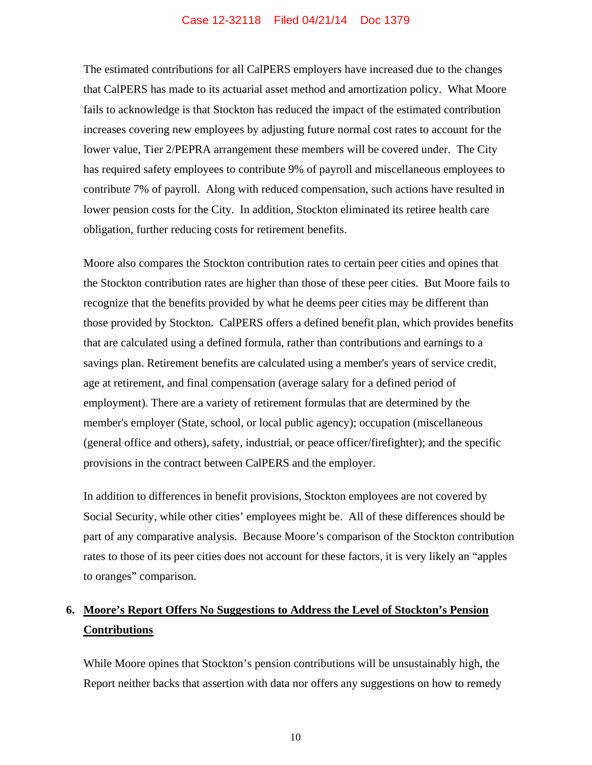The estimated contributions for all CalPERS employers have increased due to the changes that CalPERS has made to its actuarial asset method and amortization policy. What Moore fails to acknowledge is that Stockton has reduced the impact of the estimated contribution increases covering new employees by adjusting future normal cost rates to account for the lower value, Tier 2/PEPRA arrangement these members will be covered under. The City has required safety employees to contribute 9% of payroll and miscellaneous employees to contribute 7% of payroll. Along with reduced compensation, such actions have resulted in lower pension costs for the City. In addition, Stockton eliminated its retiree health care obligation, further reducing costs for retirement benefits.

Moore also compares the Stockton contribution rates to certain peer cities and opines that the Stockton contribution rates are higher than those of these peer cities. But Moore fails to recognize that the benefits provided by what he deems peer cities may be different than those provided by Stockton. CalPERS offers a defined benefit plan, which provides benefits that are calculated using a defined formula, rather than contributions and earnings to a savings plan. Retirement benefits are calculated using a member's years of service credit, age at retirement, and final compensation (average salary for a defined period of employment). There are a variety of retirement formulas that are determined by the member's employer (State, school, or local public agency); occupation (miscellaneous (general office and others), safety, industrial, or peace officer/firefighter); and the specific provisions in the contract between CalPERS and the employer.

In addition to differences in benefit provisions, Stockton employees are not covered by Social Security, while other cities' employees might be. All of these differences should be part of any comparative analysis. Because Moore's comparison of the Stockton contribution rates to those of its peer cities does not account for these factors, it is very likely an "apples to oranges" comparison.

### **6. Moore's Report Offers No Suggestions to Address the Level of Stockton's Pension Contributions**

While Moore opines that Stockton's pension contributions will be unsustainably high, the Report neither backs that assertion with data nor offers any suggestions on how to remedy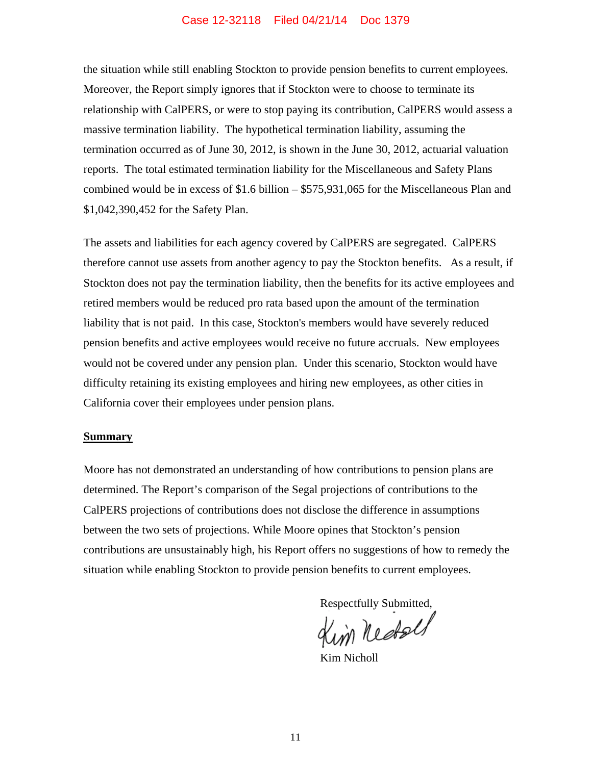the situation while still enabling Stockton to provide pension benefits to current employees. Moreover, the Report simply ignores that if Stockton were to choose to terminate its relationship with CalPERS, or were to stop paying its contribution, CalPERS would assess a massive termination liability. The hypothetical termination liability, assuming the termination occurred as of June 30, 2012, is shown in the June 30, 2012, actuarial valuation reports. The total estimated termination liability for the Miscellaneous and Safety Plans combined would be in excess of \$1.6 billion – \$575,931,065 for the Miscellaneous Plan and \$1,042,390,452 for the Safety Plan.

The assets and liabilities for each agency covered by CalPERS are segregated. CalPERS therefore cannot use assets from another agency to pay the Stockton benefits. As a result, if Stockton does not pay the termination liability, then the benefits for its active employees and retired members would be reduced pro rata based upon the amount of the termination liability that is not paid. In this case, Stockton's members would have severely reduced pension benefits and active employees would receive no future accruals. New employees would not be covered under any pension plan. Under this scenario, Stockton would have difficulty retaining its existing employees and hiring new employees, as other cities in California cover their employees under pension plans.

### **Summary**

Moore has not demonstrated an understanding of how contributions to pension plans are determined. The Report's comparison of the Segal projections of contributions to the CalPERS projections of contributions does not disclose the difference in assumptions between the two sets of projections. While Moore opines that Stockton's pension contributions are unsustainably high, his Report offers no suggestions of how to remedy the situation while enabling Stockton to provide pension benefits to current employees.

Respectfully Submitted,

Kim Nicholl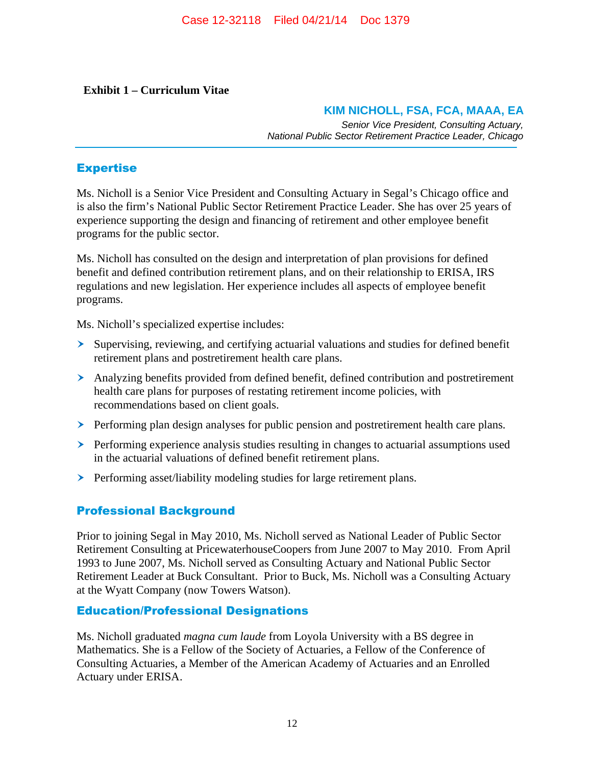### **Exhibit 1 – Curriculum Vitae**

### **KIM NICHOLL, FSA, FCA, MAAA, EA**

*Senior Vice President, Consulting Actuary, National Public Sector Retirement Practice Leader, Chicago*

### **Expertise**

Ms. Nicholl is a Senior Vice President and Consulting Actuary in Segal's Chicago office and is also the firm's National Public Sector Retirement Practice Leader. She has over 25 years of experience supporting the design and financing of retirement and other employee benefit programs for the public sector.

Ms. Nicholl has consulted on the design and interpretation of plan provisions for defined benefit and defined contribution retirement plans, and on their relationship to ERISA, IRS regulations and new legislation. Her experience includes all aspects of employee benefit programs.

Ms. Nicholl's specialized expertise includes:

- Supervising, reviewing, and certifying actuarial valuations and studies for defined benefit retirement plans and postretirement health care plans.
- $\triangleright$  Analyzing benefits provided from defined benefit, defined contribution and postretirement health care plans for purposes of restating retirement income policies, with recommendations based on client goals.
- $\triangleright$  Performing plan design analyses for public pension and postretirement health care plans.
- $\triangleright$  Performing experience analysis studies resulting in changes to actuarial assumptions used in the actuarial valuations of defined benefit retirement plans.
- > Performing asset/liability modeling studies for large retirement plans.

### Professional Background

Prior to joining Segal in May 2010, Ms. Nicholl served as National Leader of Public Sector Retirement Consulting at PricewaterhouseCoopers from June 2007 to May 2010. From April 1993 to June 2007, Ms. Nicholl served as Consulting Actuary and National Public Sector Retirement Leader at Buck Consultant. Prior to Buck, Ms. Nicholl was a Consulting Actuary at the Wyatt Company (now Towers Watson).

### Education/Professional Designations

Ms. Nicholl graduated *magna cum laude* from Loyola University with a BS degree in Mathematics. She is a Fellow of the Society of Actuaries, a Fellow of the Conference of Consulting Actuaries, a Member of the American Academy of Actuaries and an Enrolled Actuary under ERISA.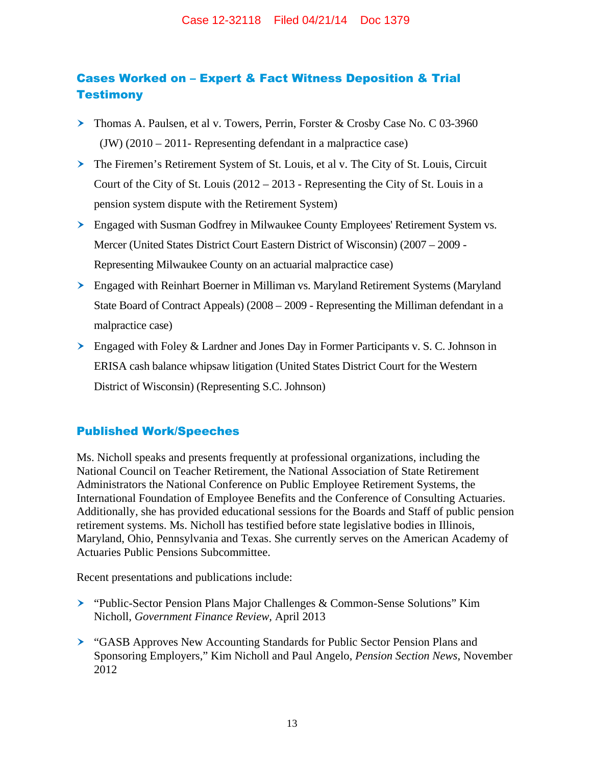### Cases Worked on – Expert & Fact Witness Deposition & Trial **Testimony**

- Thomas A. Paulsen, et al v. Towers, Perrin, Forster & Crosby Case No. C 03-3960 (JW) (2010 – 2011- Representing defendant in a malpractice case)
- The Firemen's Retirement System of St. Louis, et al v. The City of St. Louis, Circuit Court of the City of St. Louis (2012 – 2013 - Representing the City of St. Louis in a pension system dispute with the Retirement System)
- $\triangleright$  Engaged with Susman Godfrey in Milwaukee County Employees' Retirement System vs. Mercer (United States District Court Eastern District of Wisconsin) (2007 – 2009 - Representing Milwaukee County on an actuarial malpractice case)
- > Engaged with Reinhart Boerner in Milliman vs. Maryland Retirement Systems (Maryland State Board of Contract Appeals) (2008 – 2009 - Representing the Milliman defendant in a malpractice case)
- $\geq$  Engaged with Foley & Lardner and Jones Day in Former Participants v. S. C. Johnson in ERISA cash balance whipsaw litigation (United States District Court for the Western District of Wisconsin) (Representing S.C. Johnson)

### Published Work/Speeches

Ms. Nicholl speaks and presents frequently at professional organizations, including the National Council on Teacher Retirement, the National Association of State Retirement Administrators the National Conference on Public Employee Retirement Systems, the International Foundation of Employee Benefits and the Conference of Consulting Actuaries. Additionally, she has provided educational sessions for the Boards and Staff of public pension retirement systems. Ms. Nicholl has testified before state legislative bodies in Illinois, Maryland, Ohio, Pennsylvania and Texas. She currently serves on the American Academy of Actuaries Public Pensions Subcommittee.

Recent presentations and publications include:

- "Public-Sector Pension Plans Major Challenges & Common-Sense Solutions" Kim Nicholl, *Government Finance Review,* April 2013
- "GASB Approves New Accounting Standards for Public Sector Pension Plans and Sponsoring Employers," Kim Nicholl and Paul Angelo, *Pension Section News*, November 2012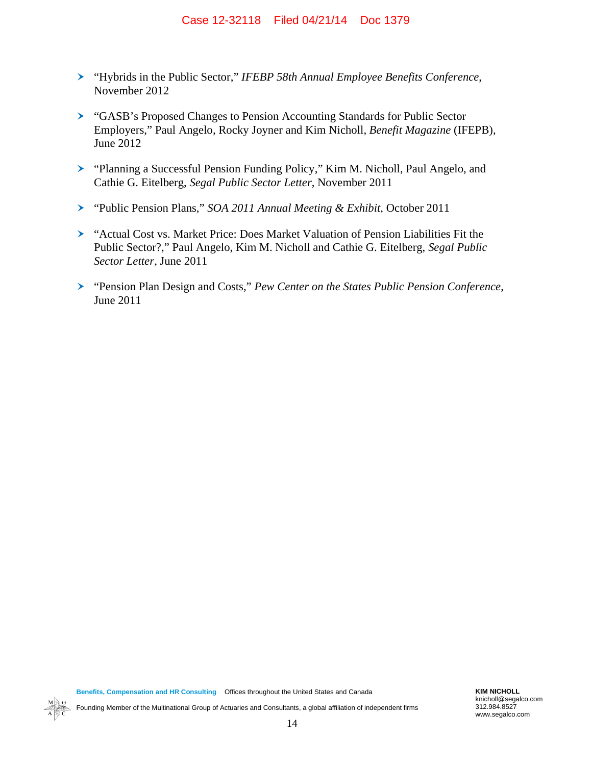- " "Hybrids in the Public Sector," *IFEBP 58th Annual Employee Benefits Conference*, November 2012
- " "GASB's Proposed Changes to Pension Accounting Standards for Public Sector Employers," Paul Angelo, Rocky Joyner and Kim Nicholl, *Benefit Magazine* (IFEPB), June 2012
- > "Planning a Successful Pension Funding Policy," Kim M. Nicholl, Paul Angelo, and Cathie G. Eitelberg, *Segal Public Sector Letter*, November 2011
- " "Public Pension Plans," *SOA 2011 Annual Meeting & Exhibit*, October 2011
- > "Actual Cost vs. Market Price: Does Market Valuation of Pension Liabilities Fit the Public Sector?," Paul Angelo, Kim M. Nicholl and Cathie G. Eitelberg, *Segal Public Sector Letter*, June 2011
- " "Pension Plan Design and Costs," *Pew Center on the States Public Pension Conference*, June 2011

Founding Member of the Multinational Group of Actuaries and Consultants, a global affiliation of independent firms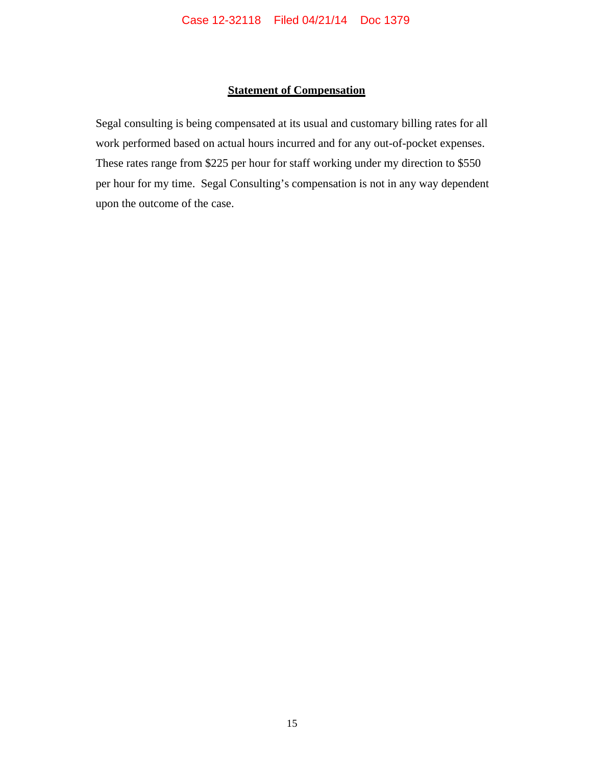### **Statement of Compensation**

Segal consulting is being compensated at its usual and customary billing rates for all work performed based on actual hours incurred and for any out-of-pocket expenses. These rates range from \$225 per hour for staff working under my direction to \$550 per hour for my time. Segal Consulting's compensation is not in any way dependent upon the outcome of the case.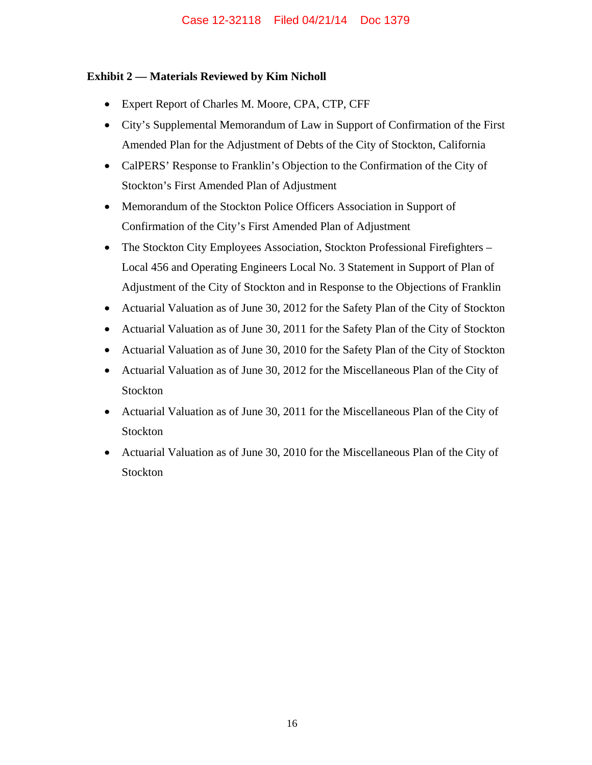### **Exhibit 2 — Materials Reviewed by Kim Nicholl**

- Expert Report of Charles M. Moore, CPA, CTP, CFF
- City's Supplemental Memorandum of Law in Support of Confirmation of the First Amended Plan for the Adjustment of Debts of the City of Stockton, California
- CalPERS' Response to Franklin's Objection to the Confirmation of the City of Stockton's First Amended Plan of Adjustment
- Memorandum of the Stockton Police Officers Association in Support of Confirmation of the City's First Amended Plan of Adjustment
- The Stockton City Employees Association, Stockton Professional Firefighters Local 456 and Operating Engineers Local No. 3 Statement in Support of Plan of Adjustment of the City of Stockton and in Response to the Objections of Franklin
- Actuarial Valuation as of June 30, 2012 for the Safety Plan of the City of Stockton
- Actuarial Valuation as of June 30, 2011 for the Safety Plan of the City of Stockton
- Actuarial Valuation as of June 30, 2010 for the Safety Plan of the City of Stockton
- Actuarial Valuation as of June 30, 2012 for the Miscellaneous Plan of the City of Stockton
- Actuarial Valuation as of June 30, 2011 for the Miscellaneous Plan of the City of Stockton
- Actuarial Valuation as of June 30, 2010 for the Miscellaneous Plan of the City of Stockton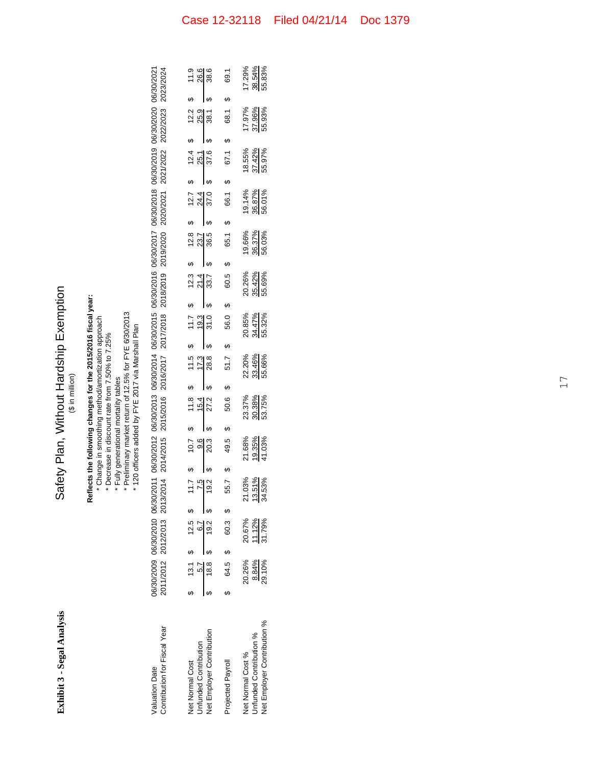| <b>Exhibit 3 - Segal Analysis</b>                                           |                           |   |                            |                               |    |                                   |                        | $($ \$ in million $)$                 |                                                                                                                                                             |    | Safety Plan, Without Hardship Exemption                                                                               |                                                                                                                                                                                                                         |    |                            |         |                            |                            |                   |                            |   |                            |
|-----------------------------------------------------------------------------|---------------------------|---|----------------------------|-------------------------------|----|-----------------------------------|------------------------|---------------------------------------|-------------------------------------------------------------------------------------------------------------------------------------------------------------|----|-----------------------------------------------------------------------------------------------------------------------|-------------------------------------------------------------------------------------------------------------------------------------------------------------------------------------------------------------------------|----|----------------------------|---------|----------------------------|----------------------------|-------------------|----------------------------|---|----------------------------|
|                                                                             |                           |   |                            |                               |    |                                   |                        | * Fully generational mortality tables | * Change in smoothing method/amortization approach<br>* 120 officers added by FYE 2017 via Marshall Plan<br>* Decrease in discount rate from 7.50% to 7.25% |    | Reflects the following changes for the 2015/2016 fiscal year:<br>Preliminary market return of 12.5% for FYE 6/30/2013 |                                                                                                                                                                                                                         |    |                            |         |                            |                            |                   |                            |   |                            |
| Contribution for Fiscal Year<br><b>Valuation Date</b>                       | 2011/2012                 |   |                            | 2012/2013 2013/2014 2014/2015 |    |                                   |                        |                                       |                                                                                                                                                             |    |                                                                                                                       | 06/30/2009 06/30/2010 06/30/2011 06/30/2012 06/30/2013 06/30/2015 06/30/2015 06/30/2016 06/30/2017 06/30/2018 06/30/2019 06/30/2020 06/30/2020<br>2015/2016 2016/2017 2017/2018 2018/2019 2019/2020 2020/2021 2021/2022 |    |                            |         |                            |                            |                   | 2022/2023 2023/2024        |   |                            |
| Net Employer Contribution<br>Unfunded Contribution<br>Net Normal Cost       | 18.8<br>13.1<br>5.7       |   | 12.5<br>6.7<br>19.2        | 19.2<br>7.5<br>11.7           | မာ | 10.7<br>9.6<br>20.3               | မာ<br>↔                | 11.8<br>15.4<br>27.2                  | 11.5<br>17.3<br>28.8<br>မာ                                                                                                                                  | မာ | 11.7<br>19.3<br>31.0                                                                                                  | 12.3<br>21.4<br>33.7<br>မာ                                                                                                                                                                                              | မာ | 12.8<br>36.5<br>23.7       | ക<br>မာ | 12.7<br>24.4<br>37.0       | 25.1                       | ക<br>12.4<br>37.6 | 25.9<br>12.2<br>38.1       | ക | 26.6<br>38.6<br>11.9       |
| Projected Payroll                                                           | 64.5                      | ↔ | 60.3                       | 55.7<br>ക                     | မာ | 49.5                              | $\boldsymbol{\varphi}$ | 50.6                                  | 51.7<br>မာ                                                                                                                                                  | 4  | 56.0                                                                                                                  | 60.5<br>↔                                                                                                                                                                                                               | ø  | 65.1                       | ↔       | 66.1                       | မာ                         | ↔<br>67.1         | 68.1                       | ↔ | 69.1                       |
| Net Employer Contribution %<br>Unfunded Contribution %<br>Net Normal Cost % | 20.26%<br>29.10%<br>8.84% |   | 20.67%<br>11.12%<br>31.79% | 21.03%<br>3.51%<br>4.53%      |    | 21.68%<br><u>19.35%</u><br>41.03% |                        | 23.37%<br>30.38%<br>53.75%            | 22.20%<br>33.46%<br>55.66%                                                                                                                                  |    | 20.85%<br>34.47%<br>55.32%                                                                                            | 20.26%<br>35.42%<br>55.69%                                                                                                                                                                                              |    | 19.66%<br>36.37%<br>56.03% |         | 19.14%<br>36.87%<br>56.01% | 18.55%<br>37.42%<br>55.97% |                   | 17.97%<br>55.93%<br>37.96% |   | 17.29%<br>38.54%<br>55.83% |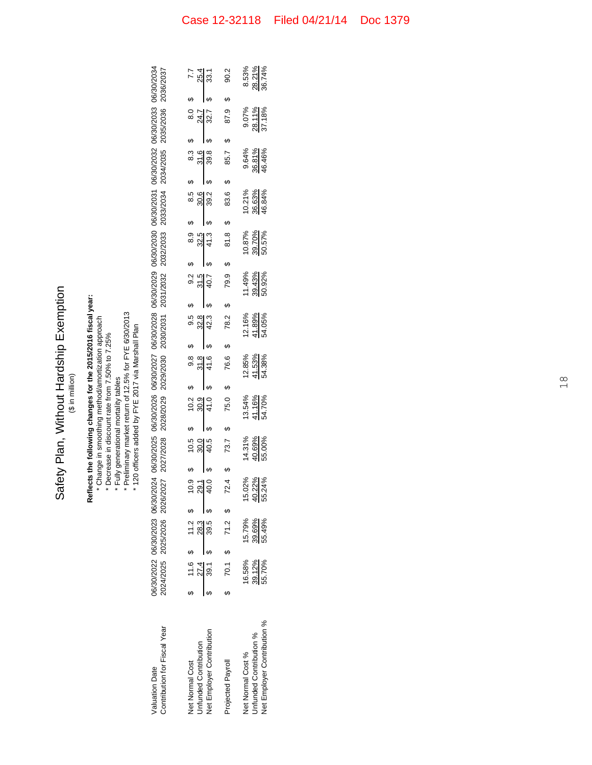Safety Plan, Without Hardship Exemption Safety Plan, Without Hardship Exemption (\$ in million)

**Reflects the following changes for the 2015/2016 fiscal year:** Reflects the following changes for the 2015/2016 fiscal year:<br>\* Change in smoothing method/amortization approach

 Change in smoothing method/amortization approach \* Decrease in discount rate from 7.50% to 7.25%

Decrease in discount rate from 7.50% to 7.25%

Fully generational mortality tables

\*\*\*

 Preliminary market return of 12.5% for FYE 6/30/2013 120 officers added by FYE 2017 via Marshall Plan

| Contribution for Fiscal Year<br>Valuation Date |                  | 2024/2025 2025/2026 2026/      | 06/30/2022 06/30/2023 06/30/2024<br>2024/2025 2025/2026 2026/2027 |                                                              |                            | 06/30/2025 06/30/2026 06/30/2027<br>2027/2028 2028/2029 2029/2030    |                                                                   |                                                                                                                                                                                                                                                                                                                                                                                                                |                                            |                     |                                         |                            | 06/30/2028 06/30/2029 06/30/2030 06/30/2031 06/30/2032<br>2030/2031 2031/2032 2032/2033 2033/2034 2034/2035 |                           | 06/30/2033 06/30/2034<br>2035/2036 2036/2037                                           | 2036/2037                 |
|------------------------------------------------|------------------|--------------------------------|-------------------------------------------------------------------|--------------------------------------------------------------|----------------------------|----------------------------------------------------------------------|-------------------------------------------------------------------|----------------------------------------------------------------------------------------------------------------------------------------------------------------------------------------------------------------------------------------------------------------------------------------------------------------------------------------------------------------------------------------------------------------|--------------------------------------------|---------------------|-----------------------------------------|----------------------------|-------------------------------------------------------------------------------------------------------------|---------------------------|----------------------------------------------------------------------------------------|---------------------------|
| Infunded Contribution<br>Net Normal Cost       |                  | $$11.6$ \$ 11.2 \$             |                                                                   | $\begin{array}{r} 6 \ \hline 40.5 \ \hline 40.5 \end{array}$ |                            | $\begin{array}{r} 6 \ \hline 9 \ \hline 9 \ \hline 41.0 \end{array}$ | $\begin{array}{r} 6 \\ 9.8 \\ 31.8 \\ \hline 41.6 \\ \end{array}$ |                                                                                                                                                                                                                                                                                                                                                                                                                | $\begin{array}{r} 6 \ 423 \ 6 \end{array}$ | <sub>თ</sub>  <br>" | 9.2 \$ 8.9<br>31.5 32.5<br>40.7 \$ 41.3 |                            | $\int$                                                                                                      |                           | 8.5 \$ 8.3 \$ 8.0 \$ 7.7<br>30.6 30.6 31.6 24.7 5 25.4<br>38.2 \$ 33.8 \$ 32.7 \$ 33.1 |                           |
| Net Employer Contribution                      |                  | $\frac{27.4}{39.1}$ \$ 39.5 \$ |                                                                   |                                                              |                            |                                                                      |                                                                   |                                                                                                                                                                                                                                                                                                                                                                                                                |                                            |                     |                                         |                            |                                                                                                             |                           |                                                                                        |                           |
| Projected Payroll                              |                  | $$70.1$ \$ 71.2 \$             |                                                                   |                                                              |                            | 72.4 \$ 75.0 \$ 76.6 \$ 76.2 \$ 81.8 \$ 83.6 \$ 85.7 \$ 87.9 \$ 90.2 |                                                                   |                                                                                                                                                                                                                                                                                                                                                                                                                |                                            |                     |                                         |                            |                                                                                                             |                           |                                                                                        |                           |
| Net Normal Cost %                              | 16.58%           | 15.79%                         |                                                                   |                                                              |                            |                                                                      |                                                                   |                                                                                                                                                                                                                                                                                                                                                                                                                |                                            |                     |                                         |                            |                                                                                                             |                           |                                                                                        |                           |
| <b>Jnfunded Contribution %</b>                 | 39.12%<br>55.70% | 39.69%<br>55.49%               | 15.02%<br>40.22%<br>55.24%                                        |                                                              | 14.31%<br>40.69%<br>55.00% | 13.54%<br>41.16%<br>54.70%                                           |                                                                   | $\begin{array}{@{}c@{\hspace{1em}}c@{\hspace{1em}}c@{\hspace{1em}}c@{\hspace{1em}}c@{\hspace{1em}}c@{\hspace{1em}}c@{\hspace{1em}}c@{\hspace{1em}}c@{\hspace{1em}}c@{\hspace{1em}}c@{\hspace{1em}}c@{\hspace{1em}}c@{\hspace{1em}}c@{\hspace{1em}}c@{\hspace{1em}}c@{\hspace{1em}}c@{\hspace{1em}}c@{\hspace{1em}}c@{\hspace{1em}}c@{\hspace{1em}}c@{\hspace{1em}}c@{\hspace{1em}}c@{\hspace{1em}}c@{\hspace{$ | 12.16%<br>41.89%<br>54.05%                 |                     | 11.49%<br>39.43%<br>50.92%              | 10.87%<br>39.70%<br>50.57% | 10.21%<br>36.63%<br>46.84%                                                                                  | 9.64%<br>36.81%<br>46.46% | 9.07%<br>28.11%<br>37.18%                                                              | 8.53%<br>28.21%<br>36.74% |
| Net Employer Contribution %                    |                  |                                |                                                                   |                                                              |                            |                                                                      |                                                                   |                                                                                                                                                                                                                                                                                                                                                                                                                |                                            |                     |                                         |                            |                                                                                                             |                           |                                                                                        |                           |

Net Employer Contribution %

55.70% 55.49% 55.24% 55.00% 54.70% 54.38% 54.05% 50.92% 50.57% 46.84% 46.46% 37.18% 36.74%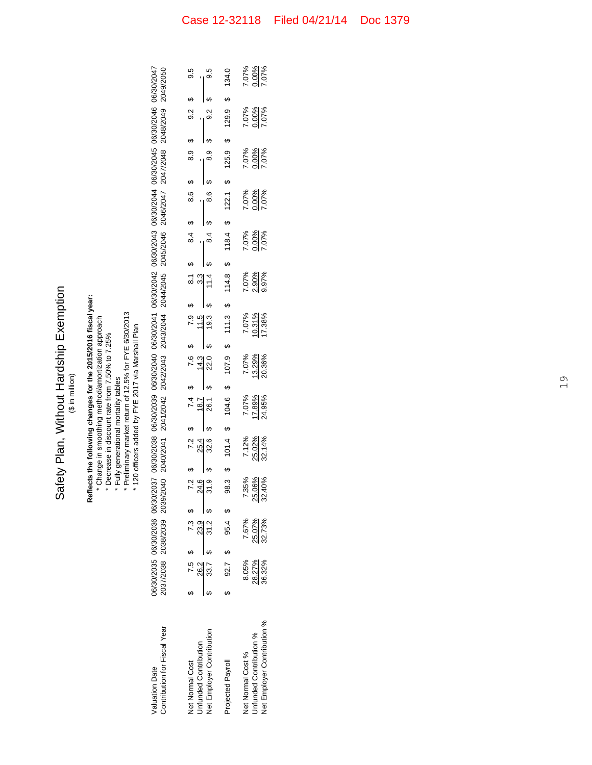| Vithout Hardship Exemption | é |
|----------------------------|---|
| Safety Plan, V             |   |

### **Reflects the following changes for the 2015/2016 fiscal year:** Reflects the following changes for the 2015/2016 fiscal year:<br>\* Change in smoothing method/amortization approach

Change in smoothing method/amortization approach

- Decrease in discount rate from 7.50% to 7.25%
	- Fully generational mortality tables

\*\*\*\*

 Preliminary market return of 12.5% for FYE 6/30/2013 120 officers added by FYE 2017 via Marshall Plan

| 06/30/2040 06/30/2041 06/30/2042 06/30/2043 06/30/2044 06/30/2045 06/30/2046 06/30/2046<br>2042/2043 2043/2044 2044/2045 2045/2046 2046/2047 2047/2048 2048/2049 2049/2050 |                              | 9.5<br>8.6 \$ 8.9 \$ 9.2 \$ |                       | $\frac{6}{9.5}$<br>\$ 7.2 \$ 7.4 \$ 7.6 \$ 7.9 \$ 8.1 \$ 8.4 \$ 8.6 \$ 8.9 \$ 9.2<br>$\frac{25.4}{32.6}$ $\frac{18.7}{32.0}$ $\frac{14.3}{32.0}$ \$ 19.3 \$ 11.4 \$ 8.4 \$ 8.6 \$ 8.9 \$ 9.2 ; | 98.3 \$ 104.6 \$ 104.6 \$ 111.3 \$ 114.8 \$ 116.4 \$ 122.1 \$ 125.9 \$ 134.0 |                   | 7.07%<br>0.00%<br>7.07%<br>7.07%<br>0.00%<br>7.07% |                             |
|----------------------------------------------------------------------------------------------------------------------------------------------------------------------------|------------------------------|-----------------------------|-----------------------|------------------------------------------------------------------------------------------------------------------------------------------------------------------------------------------------|------------------------------------------------------------------------------|-------------------|----------------------------------------------------|-----------------------------|
|                                                                                                                                                                            |                              |                             |                       |                                                                                                                                                                                                |                                                                              |                   | 7.07%<br>0.00%<br>7.07%                            |                             |
|                                                                                                                                                                            |                              |                             |                       |                                                                                                                                                                                                |                                                                              |                   | 7.07%<br>2.00%<br>7.07%                            |                             |
|                                                                                                                                                                            |                              |                             |                       |                                                                                                                                                                                                |                                                                              |                   | 7.07%<br>0.00%<br>7.07%                            |                             |
|                                                                                                                                                                            |                              |                             |                       |                                                                                                                                                                                                |                                                                              |                   | 7.07%<br>2.90%<br>9.97%                            |                             |
|                                                                                                                                                                            |                              |                             |                       |                                                                                                                                                                                                |                                                                              |                   | 7.07%<br>10.31%<br>17.38%                          |                             |
|                                                                                                                                                                            |                              |                             |                       |                                                                                                                                                                                                |                                                                              |                   | 7.07%<br>13.29%<br>20.36%                          |                             |
|                                                                                                                                                                            |                              |                             |                       |                                                                                                                                                                                                |                                                                              |                   | 7.07%<br>17.89%<br>24.95%                          |                             |
| /2037 06/30/2038 06/30/2039<br>/2040 2040/2041 2041/2042                                                                                                                   |                              |                             |                       |                                                                                                                                                                                                |                                                                              |                   | 7.12%<br>25.02%<br>32.14%                          |                             |
|                                                                                                                                                                            |                              |                             |                       | .<br>7 원 9<br>7 원 9                                                                                                                                                                            |                                                                              |                   | 7.35%<br>25.06%<br>32.40%                          |                             |
| 06/30/2035 06/30/2036 06/30                                                                                                                                                | 2037/2038 2038/2039 2039/    | 7.5 \$ 7.3 \$               |                       | $\frac{26.2}{33.7}$ \$ 31.2 \$                                                                                                                                                                 |                                                                              | 7.67%             |                                                    | 25.07%<br>32.73%            |
|                                                                                                                                                                            |                              |                             |                       |                                                                                                                                                                                                | \$ 92.7 \$ 95.4 \$                                                           | 8.05%             |                                                    | 28.27%<br>36.32%            |
|                                                                                                                                                                            |                              |                             |                       |                                                                                                                                                                                                |                                                                              |                   |                                                    |                             |
| Valuation Date                                                                                                                                                             | Contribution for Fiscal Year | <b>Net Normal Cost</b>      | Infunded Contribution | Net Employer Contribution                                                                                                                                                                      | Projected Payroll                                                            | Net Normal Cost % | <b>Jnfunded Contribution %</b>                     | Net Employer Contribution % |

Unfunded Contribution % Net Employer Contribution %

28.27% 25.07% 25.02% 25.02% 17.89% 13.29% 10.31% 2.90% 0.00% 0.00% 0.00% 0.00% 0.00% 0.00% 0.00% 0.00% 0.00%<br>محمد سعته المقابل المقابل المقابل المقابل المقابل المقابل المقابل المقابل المقابل المقابل المقابل المقابل المق 36.32% 32.73% 32.40% 32.14% 24.95% 20.36% 17.38% 9.97% 7.07% 7.07% 7.07% 7.07% 7.07%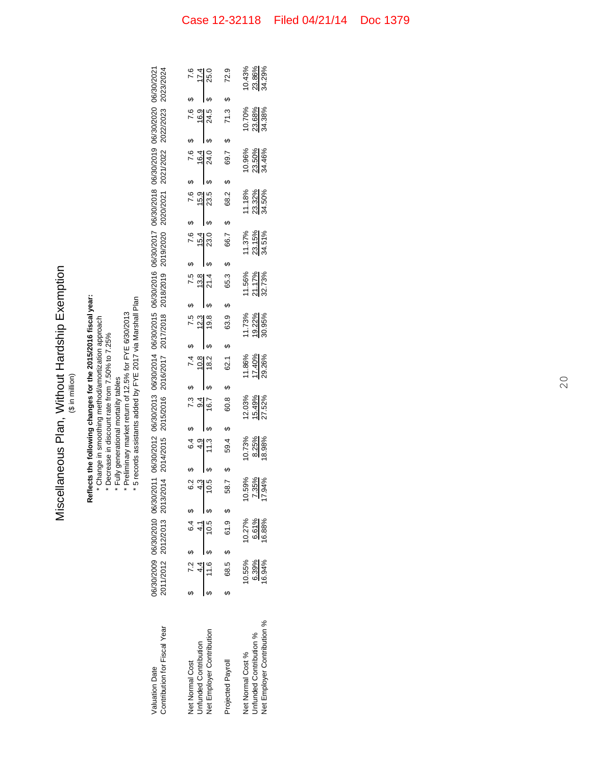| i^inhcva<br>Vithout Hardship E.   | ی تا ہے |
|-----------------------------------|---------|
| -<br>5<br>urld Snouupur<br>)<br>} |         |

# **Reflects the following changes for the 2015/2016 fiscal year:**

\*\*\*\*\* Change in smoothing method/amortization approach Decrease in discount rate from 7.50% to 7.25%

Fully generational mortality tables

 Preliminary market return of 12.5% for FYE 6/30/2013 5 records assistants added by FYE 2017 via Marshall Plan

| 06/02011 06/30/2012 06/30/2013 06/30/2014 06/30/2015 06/30/2016 06/30/2017 06/30/2018 06/30/2019 06/30/2020 06/30/2021 | 92014 2014/2015 2015/2016 2016/2017 2017/2018 2018/2019 2019/2020 2020/2021 2021/2022 2022/2023 2023/2024 |
|------------------------------------------------------------------------------------------------------------------------|-----------------------------------------------------------------------------------------------------------|
|                                                                                                                        |                                                                                                           |
|                                                                                                                        |                                                                                                           |
|                                                                                                                        |                                                                                                           |
|                                                                                                                        |                                                                                                           |
|                                                                                                                        |                                                                                                           |
|                                                                                                                        |                                                                                                           |
|                                                                                                                        |                                                                                                           |
| 06/30/2009 06/30/2010 06/30                                                                                            | 2011/2012 2012/2013 2013                                                                                  |
|                                                                                                                        |                                                                                                           |
|                                                                                                                        |                                                                                                           |
|                                                                                                                        | contribution for Fiscal Year                                                                              |
| <b>Iluation Date</b>                                                                                                   |                                                                                                           |

| Unfunded Contribution<br>Net Employer Contribution<br>Projected Payroll<br><b>Net Normal Cost</b> |                         | $$7.2$$ 5 6.4 \$<br>68.5 \$ 61.9 \$<br>$\frac{4.4}{11.6}$ \$ $\frac{4.1}{10.5}$ | $\boldsymbol{\varphi}$<br>58.7<br>e 4 0:<br>0:4 0: | G<br>59.4<br>$\begin{array}{r} 6.4 \\ 6.4 \\ 4.9 \\ \hline 11.3 \end{array}$ | 60.8<br>$\begin{array}{r} 6 \\ 7.3 \\ 9.4 \\ 9.4 \\ \hline \end{array}$ | 62.1<br>$\begin{array}{r} 6 \\ 7.4 \\ 10.8 \\ \hline 9 \end{array}$<br>မာ | မာ | 63.9<br>$\begin{array}{r} 5 \\ 7.5 \\ 12.3 \\ 9 \\ 4 \end{array}$ | 65.3<br>$\begin{array}{r} 7.5 \\ 7.8 \\ 13.8 \\ 21.4 \end{array}$<br>Ą | S | S<br>66.7<br>$\begin{array}{r} 6 \ \hline 7.6 \ \hline 15.4 \ \hline 9.33.0 \end{array}$ | 68.2<br>$\frac{7.6}{15.9}$<br>$\frac{15.9}{23.5}$ | 69.7<br>$\begin{array}{r} 7.6 \\ 16.4 \\ 16.4 \end{array}$<br>မာ | 71.3<br>$\begin{array}{r} 6 \ 7.6 \ \hline 7 \ \hline 16.9 \ \hline 9 \ \hline 24.5 \end{array}$<br>မာ | $\begin{array}{r} 7.6 \\ 7.4 \\ 17.4 \\ 25.0 \end{array}$<br>٠Ą |
|---------------------------------------------------------------------------------------------------|-------------------------|---------------------------------------------------------------------------------|----------------------------------------------------|------------------------------------------------------------------------------|-------------------------------------------------------------------------|---------------------------------------------------------------------------|----|-------------------------------------------------------------------|------------------------------------------------------------------------|---|------------------------------------------------------------------------------------------|---------------------------------------------------|------------------------------------------------------------------|--------------------------------------------------------------------------------------------------------|-----------------------------------------------------------------|
| Net Employer Contribution %<br>nfunded Contribution %<br><b>Vet Normal Cost %</b>                 | 0.55%<br>6.39%<br>6.94% | 10.27%<br>6.61%<br>16.88%                                                       | ಕ್ಷ್ಮಿ ಜೈ<br>ಕೃತ್ಯ                                 | $0.73\%$<br>8.25%<br>8.98%                                                   | 12.03%<br><u>15.49%</u><br>27.52%                                       | 11.86%<br><u>17.40%</u><br>29.26%                                         |    | 11.73%<br><u>19.22%</u><br>30.95%                                 | 1.56%<br><u>21.17%</u><br>32.73%                                       |   | 11.37%<br><u>23.15%</u><br>34.51%                                                        | 11.18%<br>23.32%<br>34.50%                        | 10.96%<br>23.50%<br>34.46%                                       | 10.70%<br>23.68%<br>34.38%                                                                             |                                                                 |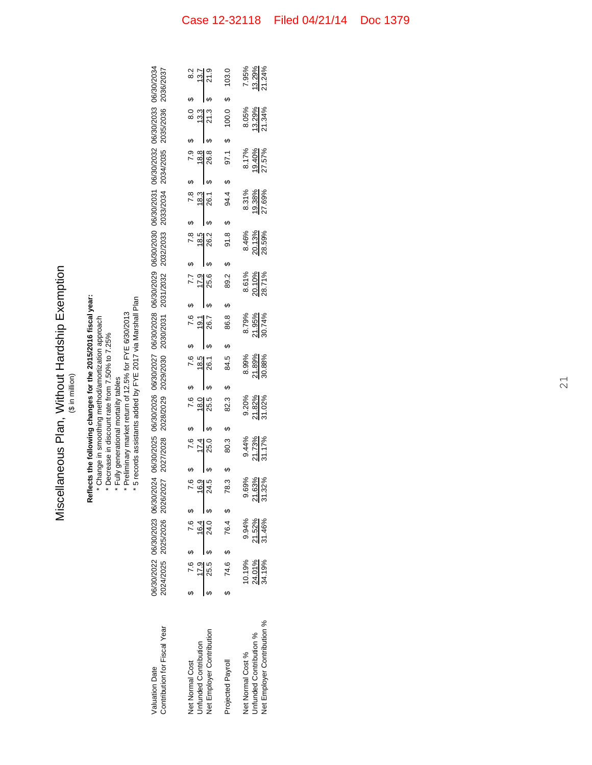| Tvomstice<br>- Cicher Harder<br>$\frac{2}{3}$<br>.<br>. | الأن أما بها |
|---------------------------------------------------------|--------------|
| liscellaneous Plan,                                     |              |

# **Reflects the following changes for the 2015/2016 fiscal year:**

\*\*\*\*\* Change in smoothing method/amortization approach Decrease in discount rate from 7.50% to 7.25%

- Fully generational mortality tables
- Preliminary market return of 12.5% for FYE 6/30/2013 5 records assistants added by FYE 2017 via Marshall Plan

| 06/30/2022 06/30/2023 06/30/2024 06/30/2025 06/30/2026 06/30/2027 06/30/2028 06/30/2029 06/30/2030 06/30/2031 06/30/2032 06/30/2033 06/30/2033 06/30/2039 | 0024/2025 2025/2026 2026/2027 2027/2028 2029/2029 2029/2030 2030/2031 2031/2032 2032/2033 2033/2034 2034/2035 2035/2036 2036/2037 |
|-----------------------------------------------------------------------------------------------------------------------------------------------------------|-----------------------------------------------------------------------------------------------------------------------------------|
|                                                                                                                                                           |                                                                                                                                   |
|                                                                                                                                                           |                                                                                                                                   |
|                                                                                                                                                           |                                                                                                                                   |
|                                                                                                                                                           |                                                                                                                                   |
|                                                                                                                                                           |                                                                                                                                   |
|                                                                                                                                                           |                                                                                                                                   |

|                                                                                                  |                          | \$ 7.6 \$ 7.6 \$            | $7.9$<br>$-9.5$<br>$-4.5$ | $\begin{array}{r} 7.6 \\ 17.4 \\ 3.0 \end{array}$ |                           | $\begin{array}{r} 7.6 \\ 7.80 \\ 18.0 \\ 9 \end{array}$ |    | $\begin{array}{r} 7.6 \\ 18.5 \\ 26.1 \end{array}$ | $\begin{array}{r} 7.6 \\ 19.1 \\ 8 \end{array}$ |   | $\frac{7.7}{17.9}$        | $\begin{array}{r} \n 1.8 \\  -18.5 \\  \hline\n 5\n \end{array}$ |                          | $\frac{6}{9}$ 7.8<br>18.3<br>9.0.1 | $\frac{6}{100}$<br>$\frac{18.8}{26.8}$ | $\frac{6}{9}$<br>$\frac{13.3}{21.3}$ |    | $\begin{array}{r} 6 \\ 8.2 \\ 13.7 \\ 9 \\ 9 \end{array}$ |
|--------------------------------------------------------------------------------------------------|--------------------------|-----------------------------|---------------------------|---------------------------------------------------|---------------------------|---------------------------------------------------------|----|----------------------------------------------------|-------------------------------------------------|---|---------------------------|------------------------------------------------------------------|--------------------------|------------------------------------|----------------------------------------|--------------------------------------|----|-----------------------------------------------------------|
| Vet Normal Cost<br>Jnfunded Contribution<br>Vet Employer Contribution                            |                          | $\frac{17.9}{25.5}$ \$ 24.0 |                           |                                                   |                           |                                                         |    |                                                    |                                                 |   |                           |                                                                  |                          |                                    |                                        |                                      |    |                                                           |
| Projected Payroll                                                                                |                          | 74.6 \$ 76.4 \$             | မာ<br>78.3                |                                                   | မာ<br>80.3                | ಣ<br>ಜ                                                  | ۰A | 84.5                                               | 86.8<br>မာ                                      | ഗ | 89.2                      | မာ                                                               | ക<br>91.8                | ഗ<br>94.4                          | 97.1                                   | 100.0<br>ų,                          | f, | 103.0                                                     |
| <b>Jet Employer Contribution %</b><br><b>Jnfunded Contribution %</b><br><b>Vet Normal Cost %</b> | $\frac{24.0196}{24.196}$ | 9.94%<br>21.52%             |                           |                                                   | $\frac{11.73\%}{11.73\%}$ | $\frac{9.20\%}{11.82\%}$                                |    | 8.99%<br>21.89%<br>30.88%                          | 8.79%<br>21.95%<br>30.74%                       |   | 8.61%<br>20.10%<br>28.71% |                                                                  | $\frac{8.46\%}{20.13\%}$ | 8.31%<br><u>19.38%</u><br>27.69%   | 8.17%<br>19.40%<br>27.57%              | 8.05%<br><u>13.29%</u><br>21.34%     |    | 7.95%<br><u>13.29%</u><br>21.24%                          |